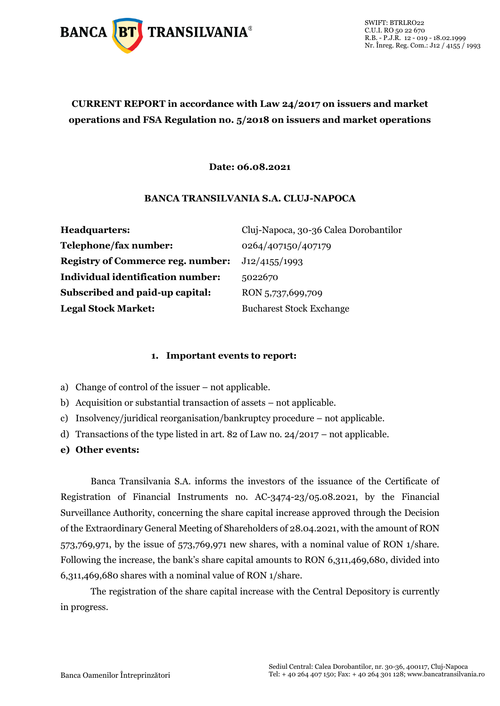

### **CURRENT REPORT in accordance with Law 24/2017 on issuers and market operations and FSA Regulation no. 5/2018 on issuers and market operations**

#### **Date: 06.08.2021**

#### **BANCA TRANSILVANIA S.A. CLUJ-NAPOCA**

| <b>Headquarters:</b>                     | Cluj-Napoca, 30-36 Calea Dorobantilor |
|------------------------------------------|---------------------------------------|
| Telephone/fax number:                    | 0264/407150/407179                    |
| <b>Registry of Commerce reg. number:</b> | J12/4155/1993                         |
| <b>Individual identification number:</b> | 5022670                               |
| Subscribed and paid-up capital:          | RON 5,737,699,709                     |
| <b>Legal Stock Market:</b>               | <b>Bucharest Stock Exchange</b>       |

#### **1. Important events to report:**

- a) Change of control of the issuer not applicable.
- b) Acquisition or substantial transaction of assets not applicable.
- c) Insolvency/juridical reorganisation/bankruptcy procedure not applicable.
- d) Transactions of the type listed in art. 82 of Law no. 24/2017 not applicable.
- **e) Other events:**

Banca Transilvania S.A. informs the investors of the issuance of the Certificate of Registration of Financial Instruments no. AC-3474-23/05.08.2021, by the Financial Surveillance Authority, concerning the share capital increase approved through the Decision of the Extraordinary General Meeting of Shareholders of 28.04.2021, with the amount of RON 573,769,971, by the issue of 573,769,971 new shares, with a nominal value of RON 1/share. Following the increase, the bank's share capital amounts to RON 6,311,469,680, divided into 6,311,469,680 shares with a nominal value of RON 1/share.

The registration of the share capital increase with the Central Depository is currently in progress.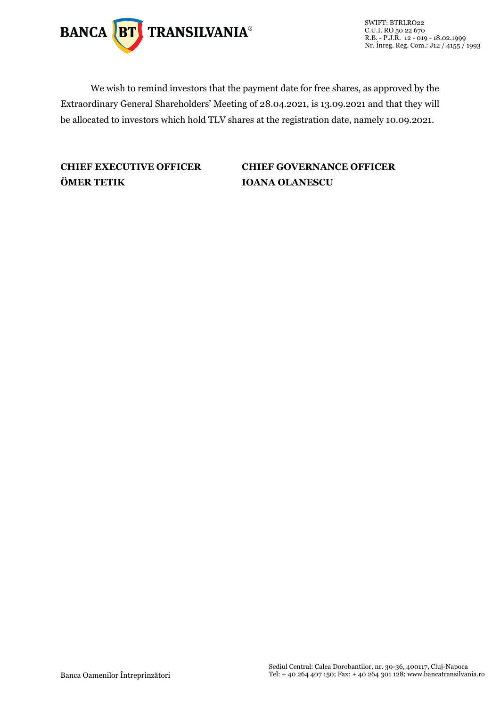

SWIFT: BTRLRO22 C.U.I. RO 50 22 670 R.B. - P.J.R. 12 - 019 - 18.02.1999 Nr. Înreg. Reg. Com.: J12 / 4155 / 1993

We wish to remind investors that the payment date for free shares, as approved by the Extraordinary General Shareholders' Meeting of 28.04.2021, is 13.09.2021 and that they will be allocated to investors which hold TLV shares at the registration date, namely 10.09.2021.

### **ÖMER TETIK IOANA OLANESCU**

### **CHIEF EXECUTIVE OFFICER CHIEF GOVERNANCE OFFICER**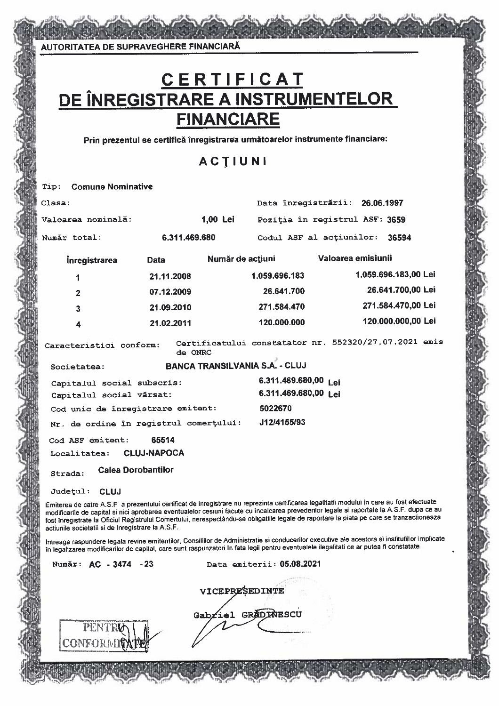AUTORITATEA DE SUPRAVEGHERE FINANCIARĂ

CONFORMI

# C E R T I F I C A T<br>DE ÎNREGISTRARE A INSTRUMENTELOR **FINANCIARE**

Prin prezentul se certifică înregistrarea următoarelor instrumente financiare:

### ACTIUNI

| Tip:   | <b>Comune Nominative</b>                               |                                                                                                                                                                                                                                                                                                                                                                                                                                    |                    |                                                      |                                |                      |  |
|--------|--------------------------------------------------------|------------------------------------------------------------------------------------------------------------------------------------------------------------------------------------------------------------------------------------------------------------------------------------------------------------------------------------------------------------------------------------------------------------------------------------|--------------------|------------------------------------------------------|--------------------------------|----------------------|--|
| Clasa: |                                                        |                                                                                                                                                                                                                                                                                                                                                                                                                                    |                    |                                                      | Data înregistrării: 26.06.1997 |                      |  |
|        | Valoarea nominală:                                     |                                                                                                                                                                                                                                                                                                                                                                                                                                    | 1,00 Lei           |                                                      | Poziția în registrul ASF: 3659 |                      |  |
|        | Numār total:                                           | 6.311.469.680                                                                                                                                                                                                                                                                                                                                                                                                                      |                    |                                                      | Codul ASF al actiunilor:       | 36594                |  |
|        | <i>inregistrarea</i>                                   | <b>Data</b>                                                                                                                                                                                                                                                                                                                                                                                                                        | Număr de acțiuni   |                                                      | Valoarea emisiunii             |                      |  |
|        | 1                                                      | 21.11.2008                                                                                                                                                                                                                                                                                                                                                                                                                         |                    | 1.059.696.183                                        |                                | 1.059.696.183,00 Lei |  |
|        | $\overline{2}$                                         | 07.12.2009                                                                                                                                                                                                                                                                                                                                                                                                                         |                    | 26.641.700                                           |                                | 26.641.700,00 Lei    |  |
|        | $\overline{\mathbf{3}}$                                | 21.09.2010                                                                                                                                                                                                                                                                                                                                                                                                                         |                    | 271.584.470                                          |                                | 271.584.470,00 Lei   |  |
|        | $\overline{\mathbf{4}}$                                | 21.02.2011                                                                                                                                                                                                                                                                                                                                                                                                                         |                    | 120.000.000                                          |                                | 120.000.000,00 Lei   |  |
|        | Caracteristici conform:                                | de ONRC                                                                                                                                                                                                                                                                                                                                                                                                                            |                    | Certificatului constatator nr. 552320/27.07.2021 emi |                                |                      |  |
|        | Societatea:                                            |                                                                                                                                                                                                                                                                                                                                                                                                                                    |                    | <b>BANCA TRANSILVANIA S.A. - CLUJ</b>                |                                |                      |  |
|        | Capitalul social subscris:<br>Capitalul social vărsat: |                                                                                                                                                                                                                                                                                                                                                                                                                                    |                    | 6.311.469.680,00 Lei<br>6.311.469.680,00 Lei         |                                |                      |  |
|        |                                                        | Cod unic de înregistrare emitent:                                                                                                                                                                                                                                                                                                                                                                                                  |                    | 5022670                                              |                                |                      |  |
|        |                                                        | Nr. de ordine în registrul comerțului:                                                                                                                                                                                                                                                                                                                                                                                             |                    | J12/4155/93                                          |                                |                      |  |
|        | Cod ASF emitent:                                       | 65514                                                                                                                                                                                                                                                                                                                                                                                                                              |                    |                                                      |                                |                      |  |
|        | <b>Localitatea:</b>                                    | <b>CLUJ-NAPOCA</b>                                                                                                                                                                                                                                                                                                                                                                                                                 |                    |                                                      |                                |                      |  |
|        | Strada:                                                | <b>Calea Dorobantilor</b>                                                                                                                                                                                                                                                                                                                                                                                                          |                    |                                                      |                                |                      |  |
|        | Judetul: CLUJ                                          |                                                                                                                                                                                                                                                                                                                                                                                                                                    |                    |                                                      |                                |                      |  |
|        | actiunile societatii si de înregistrare la A.S.F.      | Emiterea de catre A.S.F a prezentului certificat de inregistrare nu reprezinta certificarea legalitatii modului în care au fost efectuate<br>modificarile de capital si nici aprobarea eventualelor cesiuni facute cu încalcarea prevederilor legale si raportate la A.S.F. dupa ce a<br>fost înregistrate la Oficiul Registrului Comertului, nerespectându-se obligatiile legale de raportare la piata pe care se tranzactioneaza |                    |                                                      |                                |                      |  |
|        |                                                        | Intreaga raspundere legala revine emitentilor, Consiliilor de Administratie si conducerilor executive ale acestora si institutillor implica<br>în legalizarea modificarilor de capital, care sunt raspunzatori în fata legii pentru eventualele ilegalitati ce ar putea fi constatate.                                                                                                                                             |                    |                                                      |                                |                      |  |
|        | Număr: AC - 3474 - 23                                  |                                                                                                                                                                                                                                                                                                                                                                                                                                    |                    | Data emiterii: 05.08.2021                            |                                |                      |  |
|        |                                                        |                                                                                                                                                                                                                                                                                                                                                                                                                                    | VICEPRESEDINTE     |                                                      |                                |                      |  |
|        | <b>DENTER I</b>                                        |                                                                                                                                                                                                                                                                                                                                                                                                                                    | Gabriel GRADINESCU |                                                      |                                |                      |  |

te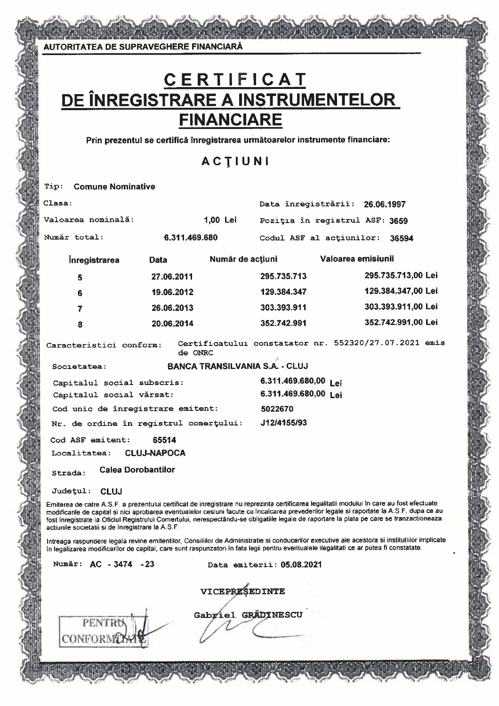# C E R T I F I C A T<br>DE ÎNREGISTRARE A INSTRUMENTELOR **FINANCIARE**

Prin prezentul se certifică înregistrarea următoarelor instrumente financiare:

### ACTIUNI

#### **Comune Nominative** Tip:

PENTRU

CONFORMO

| Clasa:                                                                                                                                                                                                                                                                                                                                                                                                                                                                                    |                    |                                       | Data înregistrării: 26.06.1997                        |                    |  |                    |  |
|-------------------------------------------------------------------------------------------------------------------------------------------------------------------------------------------------------------------------------------------------------------------------------------------------------------------------------------------------------------------------------------------------------------------------------------------------------------------------------------------|--------------------|---------------------------------------|-------------------------------------------------------|--------------------|--|--------------------|--|
| Valoarea nominală:                                                                                                                                                                                                                                                                                                                                                                                                                                                                        |                    | 1,00 Lei                              | Poziția în registrul ASF: 3659                        |                    |  |                    |  |
| Număr total:                                                                                                                                                                                                                                                                                                                                                                                                                                                                              | 6.311.469.680      |                                       | Codul ASF al actiunilor:                              |                    |  | 36594              |  |
| <b>inregistrarea</b>                                                                                                                                                                                                                                                                                                                                                                                                                                                                      | Data               | Număr de acțiuni                      |                                                       | Valoarea emisiunii |  |                    |  |
| 5                                                                                                                                                                                                                                                                                                                                                                                                                                                                                         | 27.06.2011         |                                       | 295.735.713                                           |                    |  | 295.735.713,00 Lei |  |
| 6                                                                                                                                                                                                                                                                                                                                                                                                                                                                                         | 19.06.2012         |                                       | 129.384.347                                           |                    |  | 129.384.347,00 Lei |  |
| 7                                                                                                                                                                                                                                                                                                                                                                                                                                                                                         | 26.06.2013         |                                       | 303.393.911                                           |                    |  | 303.393.911,00 Lei |  |
| 8                                                                                                                                                                                                                                                                                                                                                                                                                                                                                         | 20.06.2014         |                                       | 352.742.991                                           |                    |  | 352.742.991,00 Lei |  |
| Caracteristici conform:                                                                                                                                                                                                                                                                                                                                                                                                                                                                   | de ONRC            |                                       | Certificatului constatator nr. 552320/27.07.2021 emis |                    |  |                    |  |
| Societatea:                                                                                                                                                                                                                                                                                                                                                                                                                                                                               |                    | <b>BANCA TRANSILVANIA S.A. - CLUJ</b> |                                                       |                    |  |                    |  |
| Capitalul social subscris:<br>Capitalul social vărsat:                                                                                                                                                                                                                                                                                                                                                                                                                                    |                    |                                       | 6.311.469.680,00 Lei<br>6.311.469.680,00 Lei          |                    |  |                    |  |
| Cod unic de înregistrare emitent:                                                                                                                                                                                                                                                                                                                                                                                                                                                         |                    |                                       | 5022670                                               |                    |  |                    |  |
| Nr. de ordine în registrul comerțului:                                                                                                                                                                                                                                                                                                                                                                                                                                                    |                    |                                       | J12/4155/93                                           |                    |  |                    |  |
| Cod ASF emitent:                                                                                                                                                                                                                                                                                                                                                                                                                                                                          | 65514              |                                       |                                                       |                    |  |                    |  |
| Localitatea:                                                                                                                                                                                                                                                                                                                                                                                                                                                                              | <b>CLUJ-NAPOCA</b> |                                       |                                                       |                    |  |                    |  |
| <b>Calea Dorobantilor</b><br>Strada:                                                                                                                                                                                                                                                                                                                                                                                                                                                      |                    |                                       |                                                       |                    |  |                    |  |
| <b>CLUJ</b><br><b>Județul:</b>                                                                                                                                                                                                                                                                                                                                                                                                                                                            |                    |                                       |                                                       |                    |  |                    |  |
| Emiterea de catre A.S.F. a prezentului certificat de inregistrare nu reprezinta certificarea legalitatii modului în care au fost efectuate<br>modificarile de capital si nici aprobarea eventualelor cesiuni facute cu incalcarea prevederilor legale si raportate la A.S.F. dupa ce au<br>fost inregistrate la Oficiul Registrului Comertului, nerespectându-se obligatiile legale de raportare la piata pe care se tranzactioneaza<br>actiunile societatii si de inregistrare la A.S.F. |                    |                                       |                                                       |                    |  |                    |  |
| Intreaga raspundere legala revine emitentilor, Consiliilor de Administratie si conducerilor executive ale acestora si institutiilor implicate<br>în legalizarea modificarilor de capital, care sunt raspunzatori în fata legii pentru eventualele ilegalitati ce ar putea fi constatate.                                                                                                                                                                                                  |                    |                                       |                                                       |                    |  |                    |  |
| Număr: AC - 3474 - 23                                                                                                                                                                                                                                                                                                                                                                                                                                                                     |                    |                                       | Data emiterii: 05.08.2021                             |                    |  |                    |  |
|                                                                                                                                                                                                                                                                                                                                                                                                                                                                                           |                    | VICEPRESEDINTE<br>Gabriel GRADINESCU  |                                                       |                    |  |                    |  |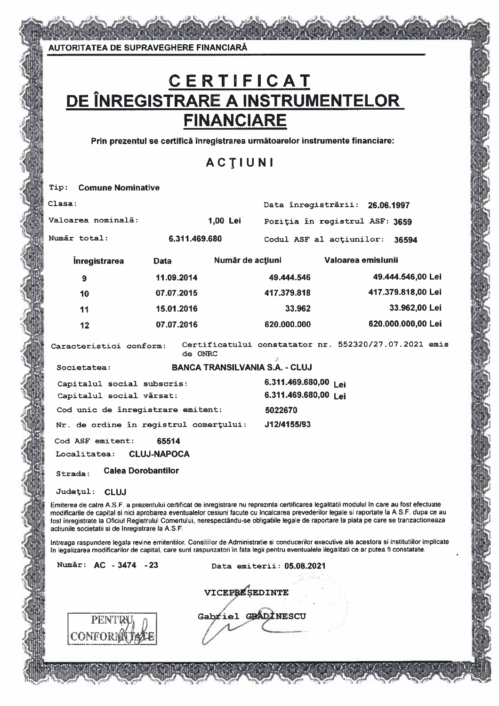# <u>C E R T I F I C A T<br>DE ÎNREGISTRARE A INSTRUMENTELOR<br>FINANCIARE</u>

Prin prezentul se certifică înregistrarea următoarelor instrumente financiare:

### ACTIUNI

| Tip:         | <b>Comune Nominative</b>                                                                                                                                                                                                                                                                                                                                                                                                                                                                  |                    |                  |                                                                        |                    |                    |  |
|--------------|-------------------------------------------------------------------------------------------------------------------------------------------------------------------------------------------------------------------------------------------------------------------------------------------------------------------------------------------------------------------------------------------------------------------------------------------------------------------------------------------|--------------------|------------------|------------------------------------------------------------------------|--------------------|--------------------|--|
| Clasa:       |                                                                                                                                                                                                                                                                                                                                                                                                                                                                                           |                    |                  | Data înregistrării: 26.06.1997                                         |                    |                    |  |
|              | Valoarea nominală:                                                                                                                                                                                                                                                                                                                                                                                                                                                                        |                    | 1,00 Lei         | Poziția în registrul ASF: 3659                                         |                    |                    |  |
| Număr total: |                                                                                                                                                                                                                                                                                                                                                                                                                                                                                           | 6.311.469.680      |                  | Codul ASF al actiunilor:                                               |                    | 36594              |  |
|              | <b>inregistrarea</b>                                                                                                                                                                                                                                                                                                                                                                                                                                                                      | Data               | Număr de acțiuni |                                                                        | Valoarea emisiunii |                    |  |
|              | 9                                                                                                                                                                                                                                                                                                                                                                                                                                                                                         | 11.09.2014         |                  | 49.444.546                                                             |                    | 49.444.546,00 Lei  |  |
|              | 10                                                                                                                                                                                                                                                                                                                                                                                                                                                                                        | 07.07.2015         |                  | 417.379.818                                                            |                    | 417.379.818,00 Lei |  |
|              | 11                                                                                                                                                                                                                                                                                                                                                                                                                                                                                        | 15.01.2016         |                  | 33.962                                                                 |                    | 33.962,00 Lei      |  |
|              | 12                                                                                                                                                                                                                                                                                                                                                                                                                                                                                        | 07.07.2016         |                  | 620,000.000                                                            |                    | 620.000.000,00 Lei |  |
|              | Caracteristici conform:                                                                                                                                                                                                                                                                                                                                                                                                                                                                   | de ONRC            |                  | Certificatului constatator nr. 552320/27.07.2021 emis<br>$\mathcal{I}$ |                    |                    |  |
|              | Societatea:                                                                                                                                                                                                                                                                                                                                                                                                                                                                               |                    |                  | <b>BANCA TRANSILVANIA S.A. - CLUJ</b>                                  |                    |                    |  |
|              | Capitalul social subscris:<br>Capitalul social vărsat:                                                                                                                                                                                                                                                                                                                                                                                                                                    |                    |                  | 6.311.469.680,00 Lei<br>6.311.469.680,00 Lei                           |                    |                    |  |
|              | Cod unic de înregistrare emitent:                                                                                                                                                                                                                                                                                                                                                                                                                                                         |                    |                  | 5022670                                                                |                    |                    |  |
|              | Nr. de ordine în registrul comerțului:                                                                                                                                                                                                                                                                                                                                                                                                                                                    |                    |                  | J12/4155/93                                                            |                    |                    |  |
|              | Cod ASF emitent:                                                                                                                                                                                                                                                                                                                                                                                                                                                                          | 65514              |                  |                                                                        |                    |                    |  |
|              | Localitatea:                                                                                                                                                                                                                                                                                                                                                                                                                                                                              | <b>CLUJ-NAPOCA</b> |                  |                                                                        |                    |                    |  |
| Strada:      | <b>Calea Dorobantilor</b>                                                                                                                                                                                                                                                                                                                                                                                                                                                                 |                    |                  |                                                                        |                    |                    |  |
|              | Județul: CLUJ                                                                                                                                                                                                                                                                                                                                                                                                                                                                             |                    |                  |                                                                        |                    |                    |  |
|              | Emiterea de catre A.S.F. a prezentului certificat de inregistrare nu reprezinta certificarea legalitatii modului în care au fost efectuate<br>modificarile de capital si nici aprobarea eventualelor cesiuni facute cu încalcarea prevederilor legale si raportate la A.S.F. dupa ce au<br>fost înregistrate la Oficiul Registrului Comertului, nerespectându-se obligatiile legale de raportare la piata pe care se tranzactioneaza<br>actiunile societatii si de înregistrare la A.S.F. |                    |                  |                                                                        |                    |                    |  |
|              | Intreaga raspundere legala revine emitentilor. Consiliilor de Administratie si conducerilor executive ale acestora si institutillor implicate<br>în legalizarea modificarilor de capital, care sunt raspunzatori în fata legii pentru eventualele ilegalitati ce ar putea fi constatate.                                                                                                                                                                                                  |                    |                  |                                                                        |                    |                    |  |
|              | Număr: AC - 3474 - 23                                                                                                                                                                                                                                                                                                                                                                                                                                                                     |                    |                  | Data emiterii: 05.08.2021                                              |                    |                    |  |
|              |                                                                                                                                                                                                                                                                                                                                                                                                                                                                                           |                    | A                |                                                                        |                    |                    |  |
|              |                                                                                                                                                                                                                                                                                                                                                                                                                                                                                           |                    |                  |                                                                        |                    |                    |  |

| <b>VICEPBESEDINTE</b> |
|-----------------------|
|                       |
| Gabriel GRADINESCU    |
|                       |
|                       |

PENTR

CONFORM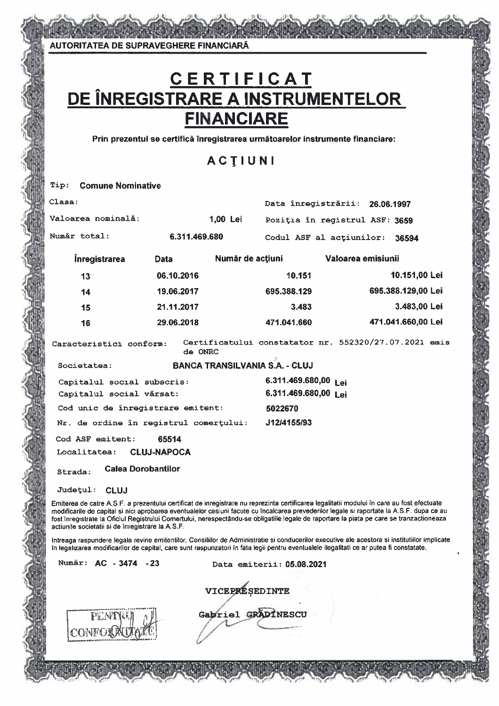AUTORITATEA DE SUPRAVEGHERE FINANCIARĂ

# C E R T I F I C A T<br>DE ÎNREGISTRARE A INSTRUMENTELOR **FINANCIARE**

Prin prezentul se certifică înregistrarea următoarelor instrumente financiare:

### ACTIUNI

| <b>Comune Nominative</b><br>Tip:                  |                                                                                                                                                                                                                                                                                                                                                                                                                                      |                  |                                       |                                                       |            |                    |  |
|---------------------------------------------------|--------------------------------------------------------------------------------------------------------------------------------------------------------------------------------------------------------------------------------------------------------------------------------------------------------------------------------------------------------------------------------------------------------------------------------------|------------------|---------------------------------------|-------------------------------------------------------|------------|--------------------|--|
| Clasa:                                            |                                                                                                                                                                                                                                                                                                                                                                                                                                      |                  |                                       | Data înregistrării:                                   | 26.06.1997 |                    |  |
| Valoarea nominală:                                |                                                                                                                                                                                                                                                                                                                                                                                                                                      | 1,00 Lei         |                                       | Poziția în registrul ASF: 3659                        |            |                    |  |
| Număr total:                                      | 6.311.469.680                                                                                                                                                                                                                                                                                                                                                                                                                        |                  |                                       | Codul ASF al actiunilor:                              |            | 36594              |  |
| <b>Inregistrarea</b>                              | <b>Data</b>                                                                                                                                                                                                                                                                                                                                                                                                                          | Număr de acțiuni |                                       | Valoarea emisiunii                                    |            |                    |  |
| 13                                                | 06.10.2016                                                                                                                                                                                                                                                                                                                                                                                                                           |                  | 10.151                                |                                                       |            | 10.151,00 Lei      |  |
| 14                                                | 19.06.2017                                                                                                                                                                                                                                                                                                                                                                                                                           |                  | 695.388.129                           |                                                       |            | 695.388.129,00 Lei |  |
| 15                                                | 21.11.2017                                                                                                                                                                                                                                                                                                                                                                                                                           |                  | 3.483                                 |                                                       |            | 3.483,00 Lei       |  |
| 16                                                | 29.06.2018                                                                                                                                                                                                                                                                                                                                                                                                                           |                  | 471.041.660                           |                                                       |            | 471.041.660,00 Lei |  |
| Caracteristici conform:                           | de ONRC                                                                                                                                                                                                                                                                                                                                                                                                                              |                  |                                       | Certificatului constatator nr. 552320/27.07.2021 emis |            |                    |  |
| Societatea:                                       |                                                                                                                                                                                                                                                                                                                                                                                                                                      |                  | <b>BANCA TRANSILVANIA S.A. - CLUJ</b> |                                                       |            |                    |  |
|                                                   | Capitalul social subscris:                                                                                                                                                                                                                                                                                                                                                                                                           |                  | 6.311.469.680,00 Lei                  |                                                       |            |                    |  |
| Capitalul social vărsat:                          | 6.311.469.680,00 Lei                                                                                                                                                                                                                                                                                                                                                                                                                 |                  |                                       |                                                       |            |                    |  |
|                                                   | Cod unic de înregistrare emitent:                                                                                                                                                                                                                                                                                                                                                                                                    |                  | 5022670                               |                                                       |            |                    |  |
|                                                   | Nr. de ordine în registrul comerțului:                                                                                                                                                                                                                                                                                                                                                                                               |                  | J12/4155/93                           |                                                       |            |                    |  |
| Cod ASF emitent:                                  | 65514                                                                                                                                                                                                                                                                                                                                                                                                                                |                  |                                       |                                                       |            |                    |  |
| Localitatea:                                      | <b>CLUJ-NAPOCA</b>                                                                                                                                                                                                                                                                                                                                                                                                                   |                  |                                       |                                                       |            |                    |  |
| Strada:                                           | <b>Calea Dorobantilor</b>                                                                                                                                                                                                                                                                                                                                                                                                            |                  |                                       |                                                       |            |                    |  |
| Județul:<br><b>CLUJ</b>                           |                                                                                                                                                                                                                                                                                                                                                                                                                                      |                  |                                       |                                                       |            |                    |  |
| actiunile societatii si de înregistrare la A.S.F. | Emiterea de catre A.S.F. a prezentului certificat de inregistrare nu reprezinta certificarea legalitatii modului în care au fost efectuate<br>modificarile de capital si nici aprobarea eventualelor cesiuni facute cu încalcarea prevederilor legale si raportate la A.S.F. dupa ce au<br>fost inregistrate la Oficiul Registrului Comertului, nerespectându-se obligatiile legale de raportare la piata pe care se tranzactioneaza |                  |                                       |                                                       |            |                    |  |
|                                                   | Intreaga raspundere legala revine emitentilor, Consiliilor de Administratie si conducerilor executive ale acestora si institutiilor implicate<br>în legalizarea modificarilor de capital, care sunt raspunzatori în fata legii pentru eventualele ilegalitati ce ar putea fi constatate.                                                                                                                                             |                  |                                       |                                                       |            |                    |  |
| Număr: AC - 3474 - 23                             |                                                                                                                                                                                                                                                                                                                                                                                                                                      |                  | Data emiterii: 05.08.2021             |                                                       |            |                    |  |

VICEPRESEDINTE Gapriel GRADINESCU

PEND CONFOL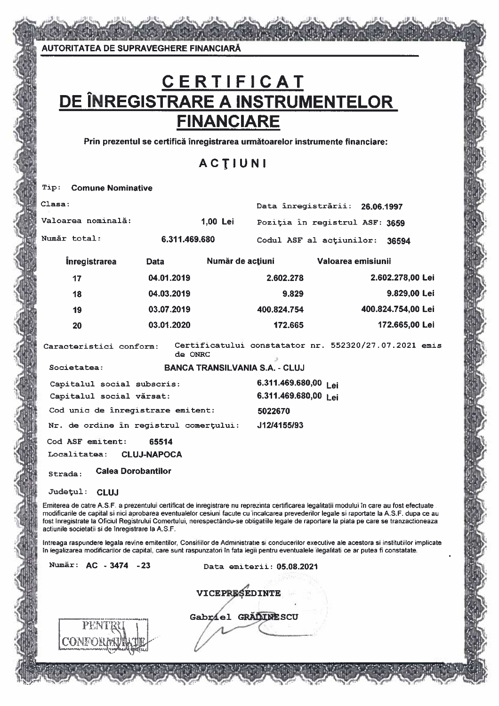**AUTORITATEA DE SUPRAVEGHERE FINANCIARĂ** 

### C E R T I F I C A T<br>DE ÎNREGISTRARE A INSTRUMENTELOR **FINANCIARE**

Prin prezentul se certifică înregistrarea următoarelor instrumente financiare:

### **ACTIUNI**

#### **Comune Nominative** Tip:

| Clasa:                                 |                                        |                                       | Data înregistrării: 26.06.1997 |                                                                                                                                                                                                                                                                                          |
|----------------------------------------|----------------------------------------|---------------------------------------|--------------------------------|------------------------------------------------------------------------------------------------------------------------------------------------------------------------------------------------------------------------------------------------------------------------------------------|
| Valoarea nominală:                     |                                        | 1,00 Lei                              | Poziția în registrul ASF: 3659 |                                                                                                                                                                                                                                                                                          |
| Număr total:                           | 6.311.469.680                          |                                       | Codul ASF al actiunilor:       | 36594                                                                                                                                                                                                                                                                                    |
| <i><b>Inregistrarea</b></i>            | <b>Data</b>                            | Număr de acțiuni                      | Valoarea emisiunii             |                                                                                                                                                                                                                                                                                          |
| 17                                     | 04.01.2019                             |                                       | 2.602.278                      | 2.602.278,00 Lei                                                                                                                                                                                                                                                                         |
| 18                                     | 04.03.2019                             |                                       | 9.829                          | 9.829,00 Lei                                                                                                                                                                                                                                                                             |
| 19                                     | 03.07.2019                             |                                       | 400.824.754                    | 400.824.754,00 Lei                                                                                                                                                                                                                                                                       |
| 20                                     | 03.01.2020                             |                                       | 172.665                        | 172.665,00 Lei                                                                                                                                                                                                                                                                           |
| Caracteristici conform:<br>Societatea: | de ONRC                                | <b>BANCA TRANSILVANIA S.A. - CLUJ</b> |                                | Certificatului constatator nr. 552320/27.07.2021 emis                                                                                                                                                                                                                                    |
| Capitalul social subscris:             |                                        |                                       | 6.311.469.680,00 Lei           |                                                                                                                                                                                                                                                                                          |
| Capitalul social vărsat:               |                                        |                                       | 6.311.469.680,00 Lei           |                                                                                                                                                                                                                                                                                          |
|                                        | Cod unic de înregistrare emitent:      | 5022670                               |                                |                                                                                                                                                                                                                                                                                          |
|                                        | Nr. de ordine în registrul comertului: |                                       | J12/4155/93                    |                                                                                                                                                                                                                                                                                          |
| Cod ASF emitent:                       | 65514                                  |                                       |                                |                                                                                                                                                                                                                                                                                          |
| Localitatea:                           | <b>CLUJ-NAPOCA</b>                     |                                       |                                |                                                                                                                                                                                                                                                                                          |
| Strada:                                | <b>Calea Dorobantilor</b>              |                                       |                                |                                                                                                                                                                                                                                                                                          |
| <b>Judetul:</b><br><b>CLUJ</b>         |                                        |                                       |                                |                                                                                                                                                                                                                                                                                          |
|                                        |                                        |                                       |                                | Emiterea de catre A.S.F. a prezentului certificat de inregistrare nu reprezinta certificarea legalitatii modului în care au fost efectuate.<br>modificarile de capital si nici aprobarea eventualelor cesiuni facute cu incalcarea prevederilor legale si raportate la A.S.F. dupa ce au |

fost înregistrate la Oficiul Registrului Comertului, nerespectându-se obligatiile legale de raportare la piata pe care se tranzactioneaza actiunile societatii si de înregistrare la A.S.F.

Intreaga raspundere legala revine emitentilor, Consiliilor de Administratie si conducerilor executive ale acestora si institutilor implicate în legalizarea modificarilor de capital, care sunt raspunzatori în fata legii pentru eventualele ilegalitati ce ar putea fi constatate.

VICEPRESEDINTE

Gabriel GRADINESCU

Numär: AC - 3474 - 23

Data emiterii: 05.08.2021

CONFO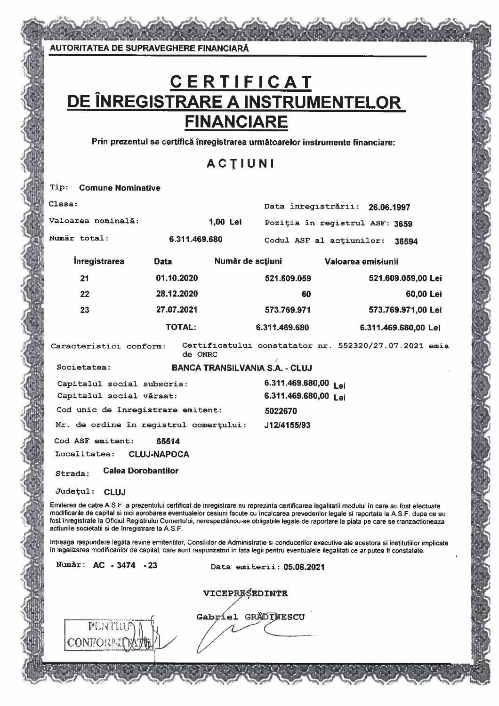### C E R T I F I C A T<br>DE ÎNREGISTRARE A INSTRUMENTELOR **FINANCIARE**

Prin prezentul se certifică înregistrarea următoarelor instrumente financiare:

### ACTIUNI

| Tip:<br><b>Comune Nominative</b>                                                                                                                                                                                                                                                                                                                                                                                                                                                          |                             |                    |                                       |                    |                                                       |
|-------------------------------------------------------------------------------------------------------------------------------------------------------------------------------------------------------------------------------------------------------------------------------------------------------------------------------------------------------------------------------------------------------------------------------------------------------------------------------------------|-----------------------------|--------------------|---------------------------------------|--------------------|-------------------------------------------------------|
| Clasa:                                                                                                                                                                                                                                                                                                                                                                                                                                                                                    |                             |                    | Data înregistrării:                   |                    | 26.06.1997                                            |
| Valoarea nominală:                                                                                                                                                                                                                                                                                                                                                                                                                                                                        |                             | 1,00 Lei           | Poziția în registrul ASF: 3659        |                    |                                                       |
| Număr total:                                                                                                                                                                                                                                                                                                                                                                                                                                                                              | 6.311.469.680               |                    | Codul ASF al actiunilor:              |                    | 36594                                                 |
| <b>Înregistrarea</b>                                                                                                                                                                                                                                                                                                                                                                                                                                                                      | <b>Data</b>                 | Număr de acțiuni   |                                       | Valoarea emisiunii |                                                       |
| 21                                                                                                                                                                                                                                                                                                                                                                                                                                                                                        | 01.10.2020                  |                    | 521.609.059                           |                    | 521.609.059,00 Lei                                    |
| 22                                                                                                                                                                                                                                                                                                                                                                                                                                                                                        | 28.12.2020                  |                    | 60                                    |                    | 60,00 Lei                                             |
| 23                                                                                                                                                                                                                                                                                                                                                                                                                                                                                        | 27.07.2021                  |                    | 573.769.971                           |                    | 573.769.971,00 Lei                                    |
|                                                                                                                                                                                                                                                                                                                                                                                                                                                                                           | <b>TOTAL:</b>               |                    | 6.311.469.680                         |                    | 6.311.469.680,00 Lei                                  |
| Caracteristici conform:                                                                                                                                                                                                                                                                                                                                                                                                                                                                   | de ONRC                     |                    |                                       |                    | Certificatului constatator nr. 552320/27.07.2021 emis |
| Societatea:                                                                                                                                                                                                                                                                                                                                                                                                                                                                               |                             |                    | <b>BANCA TRANSILVANIA S.A. - CLUJ</b> |                    |                                                       |
| 6.311.469.680,00 Lei<br>Capitalul social subscris:<br>Capitalul social vărsat:<br>6.311.469.680,00 Lei                                                                                                                                                                                                                                                                                                                                                                                    |                             |                    |                                       |                    |                                                       |
| Cod unic de înregistrare emitent:                                                                                                                                                                                                                                                                                                                                                                                                                                                         |                             |                    | 5022670                               |                    |                                                       |
| Nr. de ordine în registrul comerțului:                                                                                                                                                                                                                                                                                                                                                                                                                                                    |                             |                    | J12/4155/93                           |                    |                                                       |
| Cod ASF emitent:<br>Localitatea:                                                                                                                                                                                                                                                                                                                                                                                                                                                          | 65514<br><b>CLUJ-NAPOCA</b> |                    |                                       |                    |                                                       |
| Strada:                                                                                                                                                                                                                                                                                                                                                                                                                                                                                   | <b>Calea Dorobantilor</b>   |                    |                                       |                    |                                                       |
| Judetul:<br><b>CLUJ</b>                                                                                                                                                                                                                                                                                                                                                                                                                                                                   |                             |                    |                                       |                    |                                                       |
| Emiterea de catre A.S.F. a prezentului certificat de inregistrare nu reprezinta certificarea legalitatii modului în care au fost efectuate<br>modificarile de capital si nici aprobarea eventualelor cesiuni facute cu incalcarea prevederilor legale si raportate la A.S.F. dupa ce au<br>fost înregistrate la Oficiul Registrului Comertului, nerespectându-se obligatiile legale de raportare la piata pe care se tranzactioneaza<br>actiunile societatii si de înregistrare la A.S.F. |                             |                    |                                       |                    |                                                       |
| Intreaga raspundere legala revine emitentilor, Consililor de Administratie si conducerilor executive ale acestora si institutillor implicate<br>în legalizarea modificarilor de capital, care sunt raspunzatori în fata legii pentru eventualele ilegalitati ce ar putea fi constatate.                                                                                                                                                                                                   |                             |                    |                                       |                    |                                                       |
| Număr: AC - 3474 - 23                                                                                                                                                                                                                                                                                                                                                                                                                                                                     |                             |                    | Data emiterii: 05.08.2021             |                    |                                                       |
|                                                                                                                                                                                                                                                                                                                                                                                                                                                                                           |                             | VICEPRESEDINTE     |                                       |                    |                                                       |
| PENTRU<br><b>CONFORE</b>                                                                                                                                                                                                                                                                                                                                                                                                                                                                  |                             | Gabriel GRADINESCU |                                       |                    |                                                       |